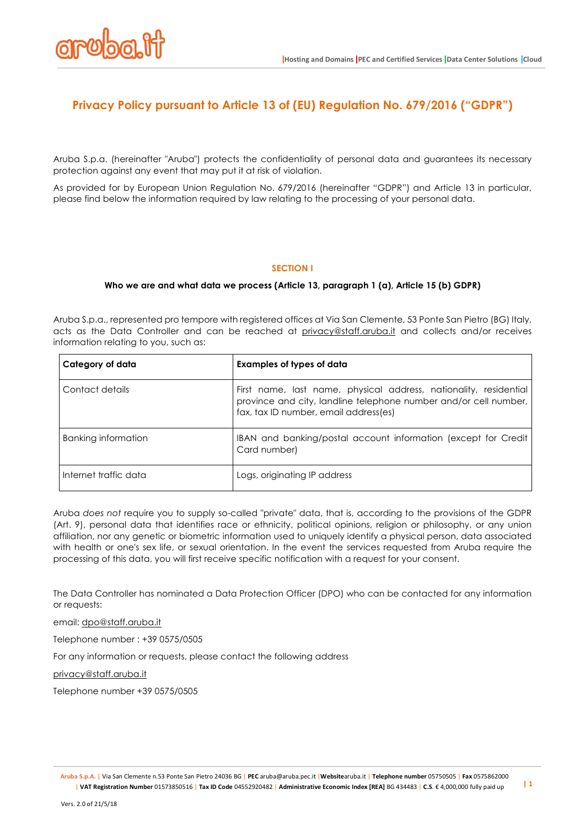

# **Privacy Policy pursuant to Article 13 of (EU) Regulation No. 679/2016 ("GDPR")**

Aruba S.p.a. (hereinafter "Aruba") protects the confidentiality of personal data and guarantees its necessary protection against any event that may put it at risk of violation.

As provided for by European Union Regulation No. 679/2016 (hereinafter "GDPR") and Article 13 in particular, please find below the information required by law relating to the processing of your personal data.

# **SECTION I**

### **Who we are and what data we process (Article 13, paragraph 1 (a), Article 15 (b) GDPR)**

Aruba S.p.a., represented pro tempore with registered offices at Via San Clemente, 53 Ponte San Pietro (BG) Italy, acts as the Data Controller and can be reached at privacy@staff.aruba.it and collects and/or receives information relating to you, such as:

| Category of data      | <b>Examples of types of data</b>                                                                                                                                               |
|-----------------------|--------------------------------------------------------------------------------------------------------------------------------------------------------------------------------|
| Contact details       | First name, last name, physical address, nationality, residential<br>province and city, landline telephone number and/or cell number,<br>fax, tax ID number, email address(es) |
| Banking information   | IBAN and banking/postal account information (except for Credit<br>Card number)                                                                                                 |
| Internet traffic data | Logs, originating IP address                                                                                                                                                   |

Aruba *does not* require you to supply so-called "private" data, that is, according to the provisions of the GDPR (Art. 9), personal data that identifies race or ethnicity, political opinions, religion or philosophy, or any union affiliation, nor any genetic or biometric information used to uniquely identify a physical person, data associated with health or one's sex life, or sexual orientation. In the event the services requested from Aruba require the processing of this data, you will first receive specific notification with a request for your consent.

The Data Controller has nominated a Data Protection Officer (DPO) who can be contacted for any information or requests:

email: dpo@staff.aruba.it

Telephone number : +39 0575/0505

For any information or requests, please contact the following address

privacy@staff.aruba.it

Telephone number +39 0575/0505

**Aruba S.p.A.** | Via San Clemente n.53 Ponte San Pietro 24036 BG | **PEC** aruba@aruba.pec.it |**Website**aruba.it | **Telephone number** 05750505 | **Fax** 0575862000 | VAT Registration Number 01573850516 | Tax ID Code 04552920482 | Administrative Economic Index [REA] BG 434483 | C.S. € 4,000,000 fully paid up | 1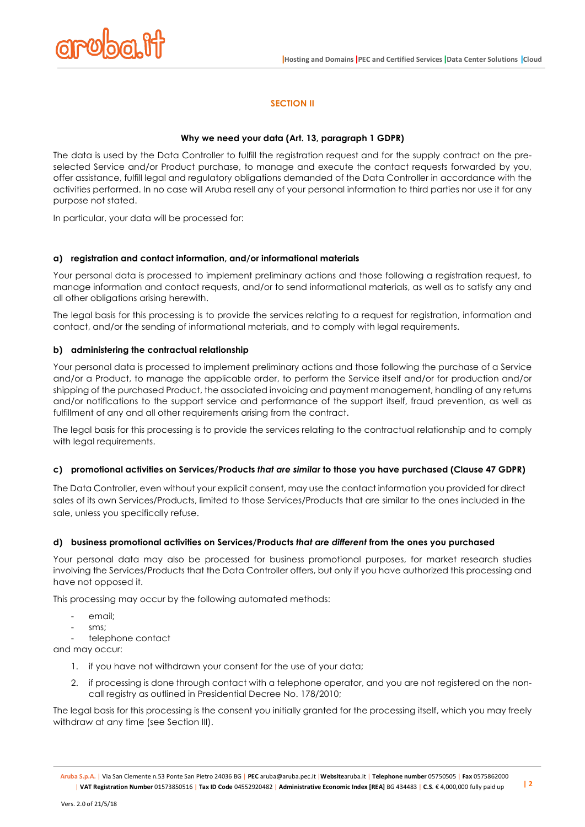

# **SECTION II**

### **Why we need your data (Art. 13, paragraph 1 GDPR)**

The data is used by the Data Controller to fulfill the registration request and for the supply contract on the preselected Service and/or Product purchase, to manage and execute the contact requests forwarded by you, offer assistance, fulfill legal and regulatory obligations demanded of the Data Controller in accordance with the activities performed. In no case will Aruba resell any of your personal information to third parties nor use it for any purpose not stated.

In particular, your data will be processed for:

### **a) registration and contact information, and/or informational materials**

Your personal data is processed to implement preliminary actions and those following a registration request, to manage information and contact requests, and/or to send informational materials, as well as to satisfy any and all other obligations arising herewith.

The legal basis for this processing is to provide the services relating to a request for registration, information and contact, and/or the sending of informational materials, and to comply with legal requirements.

### **b) administering the contractual relationship**

Your personal data is processed to implement preliminary actions and those following the purchase of a Service and/or a Product, to manage the applicable order, to perform the Service itself and/or for production and/or shipping of the purchased Product, the associated invoicing and payment management, handling of any returns and/or notifications to the support service and performance of the support itself, fraud prevention, as well as fulfillment of any and all other requirements arising from the contract.

The legal basis for this processing is to provide the services relating to the contractual relationship and to comply with legal requirements.

#### **c) promotional activities on Services/Products** *that are similar* **to those you have purchased (Clause 47 GDPR)**

The Data Controller, even without your explicit consent, may use the contact information you provided for direct sales of its own Services/Products, limited to those Services/Products that are similar to the ones included in the sale, unless you specifically refuse.

# **d) business promotional activities on Services/Products** *that are different* **from the ones you purchased**

Your personal data may also be processed for business promotional purposes, for market research studies involving the Services/Products that the Data Controller offers, but only if you have authorized this processing and have not opposed it.

This processing may occur by the following automated methods:

- email<sup>:</sup>
- sms:

telephone contact

and may occur:

- 1. if you have not withdrawn your consent for the use of your data;
- 2. if processing is done through contact with a telephone operator, and you are not registered on the noncall registry as outlined in Presidential Decree No. 178/2010;

The legal basis for this processing is the consent you initially granted for the processing itself, which you may freely withdraw at any time (see Section III).

**Aruba S.p.A.** | Via San Clemente n.53 Ponte San Pietro 24036 BG | **PEC** aruba@aruba.pec.it |**Website**aruba.it | **Telephone number** 05750505 | **Fax** 0575862000 | VAT Registration Number 01573850516 | Tax ID Code 04552920482 | Administrative Economic Index [REA] BG 434483 | C.S. € 4,000,000 fully paid up | 2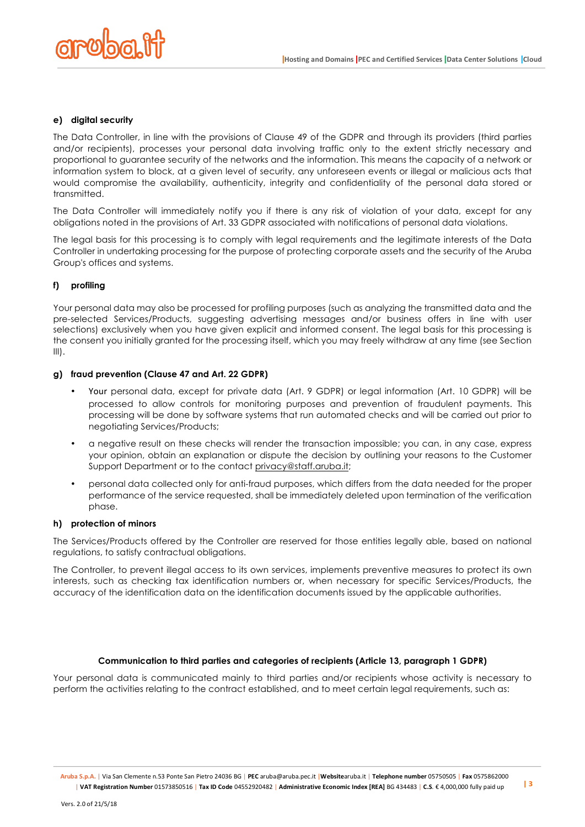

### **e) digital security**

The Data Controller, in line with the provisions of Clause 49 of the GDPR and through its providers (third parties and/or recipients), processes your personal data involving traffic only to the extent strictly necessary and proportional to guarantee security of the networks and the information. This means the capacity of a network or information system to block, at a given level of security, any unforeseen events or illegal or malicious acts that would compromise the availability, authenticity, integrity and confidentiality of the personal data stored or transmitted.

The Data Controller will immediately notify you if there is any risk of violation of your data, except for any obligations noted in the provisions of Art. 33 GDPR associated with notifications of personal data violations.

The legal basis for this processing is to comply with legal requirements and the legitimate interests of the Data Controller in undertaking processing for the purpose of protecting corporate assets and the security of the Aruba Group's offices and systems.

# **f) profiling**

Your personal data may also be processed for profiling purposes (such as analyzing the transmitted data and the pre-selected Services/Products, suggesting advertising messages and/or business offers in line with user selections) exclusively when you have given explicit and informed consent. The legal basis for this processing is the consent you initially granted for the processing itself, which you may freely withdraw at any time (see Section  $III$ ).

#### **g) fraud prevention (Clause 47 and Art. 22 GDPR)**

- Your personal data, except for private data (Art. 9 GDPR) or legal information (Art. 10 GDPR) will be processed to allow controls for monitoring purposes and prevention of fraudulent payments. This processing will be done by software systems that run automated checks and will be carried out prior to negotiating Services/Products;
- a negative result on these checks will render the transaction impossible; you can, in any case, express your opinion, obtain an explanation or dispute the decision by outlining your reasons to the Customer Support Department or to the contact privacy@staff.aruba.it;
- personal data collected only for anti-fraud purposes, which differs from the data needed for the proper performance of the service requested, shall be immediately deleted upon termination of the verification phase.

#### **h) protection of minors**

The Services/Products offered by the Controller are reserved for those entities legally able, based on national regulations, to satisfy contractual obligations.

The Controller, to prevent illegal access to its own services, implements preventive measures to protect its own interests, such as checking tax identification numbers or, when necessary for specific Services/Products, the accuracy of the identification data on the identification documents issued by the applicable authorities.

# **Communication to third parties and categories of recipients (Article 13, paragraph 1 GDPR)**

Your personal data is communicated mainly to third parties and/or recipients whose activity is necessary to perform the activities relating to the contract established, and to meet certain legal requirements, such as: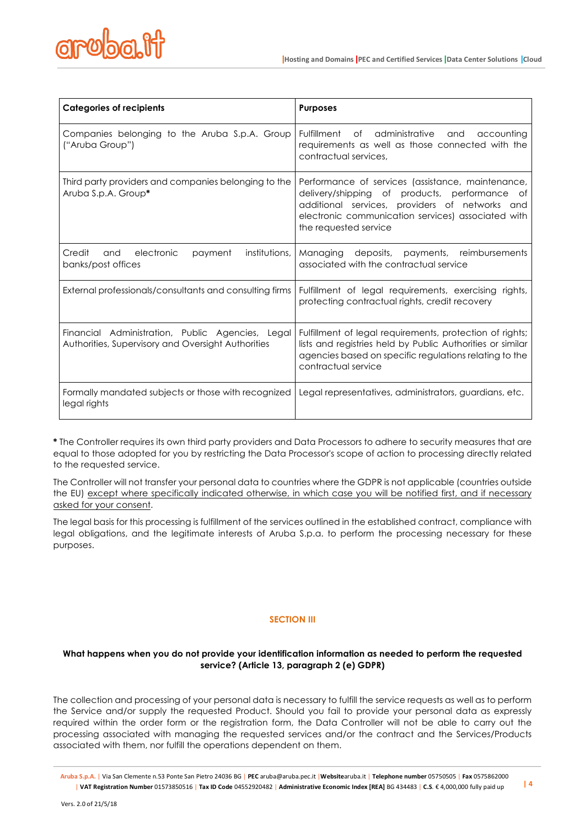

| <b>Categories of recipients</b>                                                                        | <b>Purposes</b>                                                                                                                                                                                                                        |
|--------------------------------------------------------------------------------------------------------|----------------------------------------------------------------------------------------------------------------------------------------------------------------------------------------------------------------------------------------|
| Companies belonging to the Aruba S.p.A. Group<br>("Aruba Group")                                       | Fulfillment of<br>administrative and accounting<br>requirements as well as those connected with the<br>contractual services,                                                                                                           |
| Third party providers and companies belonging to the<br>Aruba S.p.A. Group*                            | Performance of services (assistance, maintenance,<br>delivery/shipping of products, performance<br>Οf<br>additional services, providers of networks and<br>electronic communication services) associated with<br>the requested service |
| Credit<br>electronic<br>payment<br>institutions,<br>and<br>banks/post offices                          | Managing<br>deposits, payments, reimbursements<br>associated with the contractual service                                                                                                                                              |
| External professionals/consultants and consulting firms                                                | Fulfillment of legal requirements, exercising rights,<br>protecting contractual rights, credit recovery                                                                                                                                |
| Financial Administration, Public Agencies, Legal<br>Authorities, Supervisory and Oversight Authorities | Fulfillment of legal requirements, protection of rights;<br>lists and registries held by Public Authorities or similar<br>agencies based on specific regulations relating to the<br>contractual service                                |
| Formally mandated subjects or those with recognized<br>legal rights                                    | Legal representatives, administrators, guardians, etc.                                                                                                                                                                                 |

**\*** The Controller requires its own third party providers and Data Processors to adhere to security measures that are equal to those adopted for you by restricting the Data Processor's scope of action to processing directly related to the requested service.

The Controller will not transfer your personal data to countries where the GDPR is not applicable (countries outside the EU) except where specifically indicated otherwise, in which case you will be notified first, and if necessary asked for your consent.

The legal basis for this processing is fulfillment of the services outlined in the established contract, compliance with legal obligations, and the legitimate interests of Aruba S.p.a. to perform the processing necessary for these purposes.

# **SECTION III**

# **What happens when you do not provide your identification information as needed to perform the requested service? (Article 13, paragraph 2 (e) GDPR)**

The collection and processing of your personal data is necessary to fulfill the service requests as well as to perform the Service and/or supply the requested Product. Should you fail to provide your personal data as expressly required within the order form or the registration form, the Data Controller will not be able to carry out the processing associated with managing the requested services and/or the contract and the Services/Products associated with them, nor fulfill the operations dependent on them.

**Aruba S.p.A.** | Via San Clemente n.53 Ponte San Pietro 24036 BG | **PEC** aruba@aruba.pec.it |**Website**aruba.it | **Telephone number** 05750505 | **Fax** 0575862000 | VAT Registration Number 01573850516 | Tax ID Code 04552920482 | Administrative Economic Index [REA] BG 434483 | C.S. € 4,000,000 fully paid up  $\frac{14}{4}$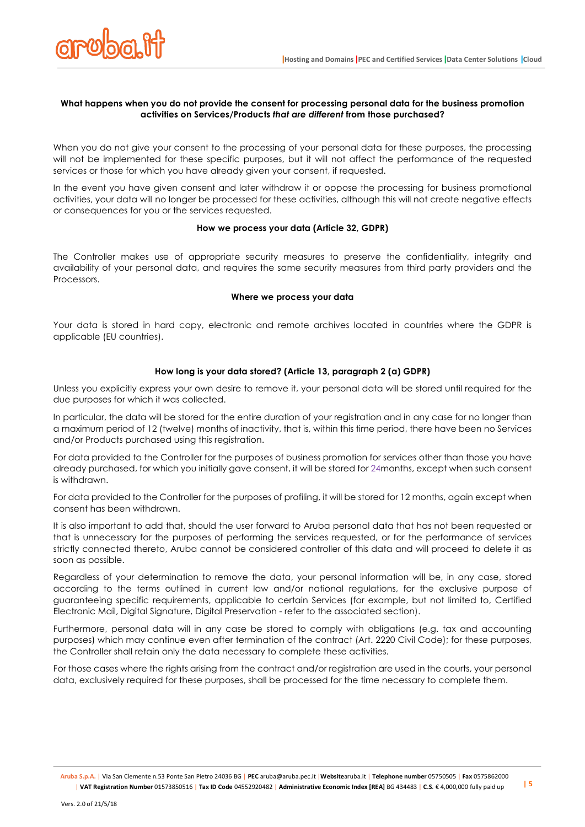

### **What happens when you do not provide the consent for processing personal data for the business promotion activities on Services/Products** *that are different* **from those purchased?**

When you do not give your consent to the processing of your personal data for these purposes, the processing will not be implemented for these specific purposes, but it will not affect the performance of the requested services or those for which you have already given your consent, if requested.

In the event you have given consent and later withdraw it or oppose the processing for business promotional activities, your data will no longer be processed for these activities, although this will not create negative effects or consequences for you or the services requested.

# **How we process your data (Article 32, GDPR)**

The Controller makes use of appropriate security measures to preserve the confidentiality, integrity and availability of your personal data, and requires the same security measures from third party providers and the **Processors.** 

### **Where we process your data**

Your data is stored in hard copy, electronic and remote archives located in countries where the GDPR is applicable (EU countries).

# **How long is your data stored? (Article 13, paragraph 2 (a) GDPR)**

Unless you explicitly express your own desire to remove it, your personal data will be stored until required for the due purposes for which it was collected.

In particular, the data will be stored for the entire duration of your registration and in any case for no longer than a maximum period of 12 (twelve) months of inactivity, that is, within this time period, there have been no Services and/or Products purchased using this registration.

For data provided to the Controller for the purposes of business promotion for services other than those you have already purchased, for which you initially gave consent, it will be stored for 24months, except when such consent is withdrawn.

For data provided to the Controller for the purposes of profiling, it will be stored for 12 months, again except when consent has been withdrawn.

It is also important to add that, should the user forward to Aruba personal data that has not been requested or that is unnecessary for the purposes of performing the services requested, or for the performance of services strictly connected thereto, Aruba cannot be considered controller of this data and will proceed to delete it as soon as possible.

Regardless of your determination to remove the data, your personal information will be, in any case, stored according to the terms outlined in current law and/or national regulations, for the exclusive purpose of guaranteeing specific requirements, applicable to certain Services (for example, but not limited to, Certified Electronic Mail, Digital Signature, Digital Preservation - refer to the associated section).

Furthermore, personal data will in any case be stored to comply with obligations (e.g. tax and accounting purposes) which may continue even after termination of the contract (Art. 2220 Civil Code); for these purposes, the Controller shall retain only the data necessary to complete these activities.

For those cases where the rights arising from the contract and/or registration are used in the courts, your personal data, exclusively required for these purposes, shall be processed for the time necessary to complete them.

**Aruba S.p.A.** | Via San Clemente n.53 Ponte San Pietro 24036 BG | **PEC** aruba@aruba.pec.it |**Website**aruba.it | **Telephone number** 05750505 | **Fax** 0575862000 | VAT Registration Number 01573850516 | Tax ID Code 04552920482 | Administrative Economic Index [REA] BG 434483 | C.S. € 4,000,000 fully paid up | 5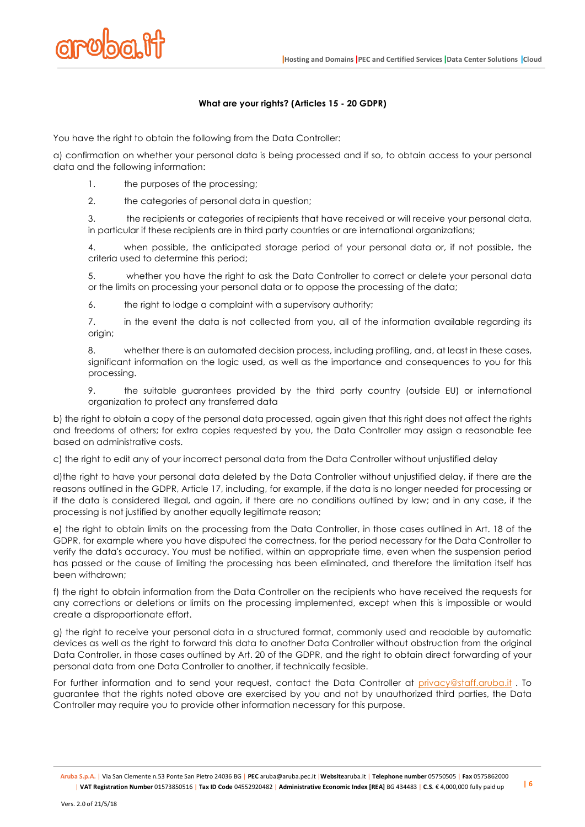

# **What are your rights? (Articles 15 - 20 GDPR)**

You have the right to obtain the following from the Data Controller:

a) confirmation on whether your personal data is being processed and if so, to obtain access to your personal data and the following information:

- 1. the purposes of the processing:
- 2. the categories of personal data in question;

3. the recipients or categories of recipients that have received or will receive your personal data, in particular if these recipients are in third party countries or are international organizations;

4. when possible, the anticipated storage period of your personal data or, if not possible, the criteria used to determine this period;

5. whether you have the right to ask the Data Controller to correct or delete your personal data or the limits on processing your personal data or to oppose the processing of the data;

6. the right to lodge a complaint with a supervisory authority;

7. in the event the data is not collected from you, all of the information available regarding its origin;

8. whether there is an automated decision process, including profiling, and, at least in these cases, significant information on the logic used, as well as the importance and consequences to you for this processing.

9. the suitable guarantees provided by the third party country (outside EU) or international organization to protect any transferred data

b) the right to obtain a copy of the personal data processed, again given that this right does not affect the rights and freedoms of others; for extra copies requested by you, the Data Controller may assign a reasonable fee based on administrative costs.

c) the right to edit any of your incorrect personal data from the Data Controller without unjustified delay

d)the right to have your personal data deleted by the Data Controller without unjustified delay, if there are the reasons outlined in the GDPR, Article 17, including, for example, if the data is no longer needed for processing or if the data is considered illegal, and again, if there are no conditions outlined by law; and in any case, if the processing is not justified by another equally legitimate reason;

e) the right to obtain limits on the processing from the Data Controller, in those cases outlined in Art. 18 of the GDPR, for example where you have disputed the correctness, for the period necessary for the Data Controller to verify the data's accuracy. You must be notified, within an appropriate time, even when the suspension period has passed or the cause of limiting the processing has been eliminated, and therefore the limitation itself has been withdrawn;

f) the right to obtain information from the Data Controller on the recipients who have received the requests for any corrections or deletions or limits on the processing implemented, except when this is impossible or would create a disproportionate effort.

g) the right to receive your personal data in a structured format, commonly used and readable by automatic devices as well as the right to forward this data to another Data Controller without obstruction from the original Data Controller, in those cases outlined by Art. 20 of the GDPR, and the right to obtain direct forwarding of your personal data from one Data Controller to another, if technically feasible.

For further information and to send your request, contact the Data Controller at privacy@staff.aruba.it. To guarantee that the rights noted above are exercised by you and not by unauthorized third parties, the Data Controller may require you to provide other information necessary for this purpose.

**Aruba S.p.A.** | Via San Clemente n.53 Ponte San Pietro 24036 BG | **PEC** aruba@aruba.pec.it |**Website**aruba.it | **Telephone number** 05750505 | **Fax** 0575862000 | VAT Registration Number 01573850516 | Tax ID Code 04552920482 | Administrative Economic Index [REA] BG 434483 | C.S. € 4,000,000 fully paid up  $\frac{16}{6}$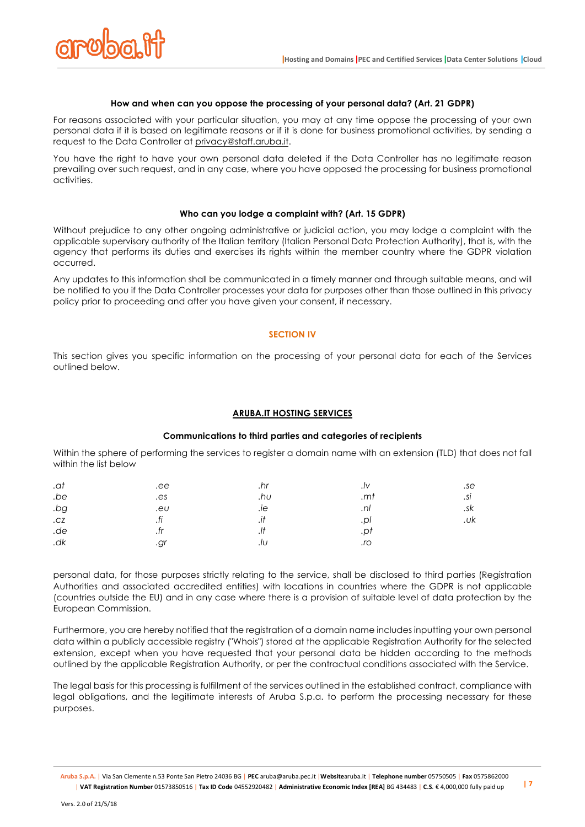

### **How and when can you oppose the processing of your personal data? (Art. 21 GDPR)**

For reasons associated with your particular situation, you may at any time oppose the processing of your own personal data if it is based on legitimate reasons or if it is done for business promotional activities, by sending a request to the Data Controller at privacy@staff.aruba.it.

You have the right to have your own personal data deleted if the Data Controller has no legitimate reason prevailing over such request, and in any case, where you have opposed the processing for business promotional activities.

#### **Who can you lodge a complaint with? (Art. 15 GDPR)**

Without prejudice to any other ongoing administrative or judicial action, you may lodge a complaint with the applicable supervisory authority of the Italian territory (Italian Personal Data Protection Authority), that is, with the agency that performs its duties and exercises its rights within the member country where the GDPR violation occurred.

Any updates to this information shall be communicated in a timely manner and through suitable means, and will be notified to you if the Data Controller processes your data for purposes other than those outlined in this privacy policy prior to proceeding and after you have given your consent, if necessary.

### **SECTION IV**

This section gives you specific information on the processing of your personal data for each of the Services outlined below.

#### **ARUBA.IT HOSTING SERVICES**

### **Communications to third parties and categories of recipients**

Within the sphere of performing the services to register a domain name with an extension (TLD) that does not fall within the list below

| .ee       | .hr |     | .se |
|-----------|-----|-----|-----|
| .es       | .hu | .mt | .si |
| .eU       | .ıe | .nI | .sk |
| fi<br>.11 | .11 | .pl | .uk |
|           | .   | .pt |     |
| .gr       | .IU | .ro |     |
|           |     |     |     |

personal data, for those purposes strictly relating to the service, shall be disclosed to third parties (Registration Authorities and associated accredited entities) with locations in countries where the GDPR is not applicable (countries outside the EU) and in any case where there is a provision of suitable level of data protection by the European Commission.

Furthermore, you are hereby notified that the registration of a domain name includes inputting your own personal data within a publicly accessible registry ("Whois") stored at the applicable Registration Authority for the selected extension, except when you have requested that your personal data be hidden according to the methods outlined by the applicable Registration Authority, or per the contractual conditions associated with the Service.

The legal basis for this processing is fulfillment of the services outlined in the established contract, compliance with legal obligations, and the legitimate interests of Aruba S.p.a. to perform the processing necessary for these purposes.

**Aruba S.p.A.** | Via San Clemente n.53 Ponte San Pietro 24036 BG | **PEC** aruba@aruba.pec.it |**Website**aruba.it | **Telephone number** 05750505 | **Fax** 0575862000 |VAT Registration Number 01573850516 | Tax ID Code 04552920482 | Administrative Economic Index [REA] BG 434483 | C.S. € 4,000,000 fully paid up | 7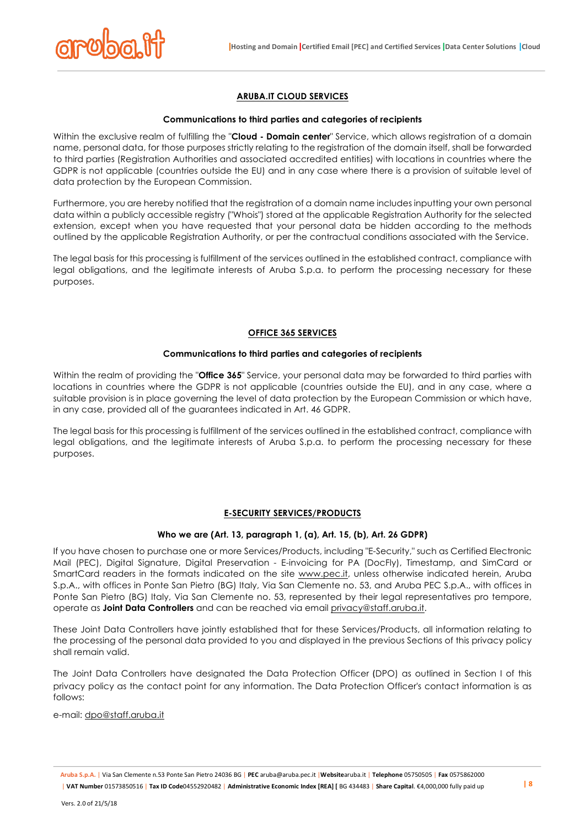

# **ARUBA.IT CLOUD SERVICES**

#### **Communications to third parties and categories of recipients**

Within the exclusive realm of fulfilling the "**Cloud - Domain center**" Service, which allows registration of a domain name, personal data, for those purposes strictly relating to the registration of the domain itself, shall be forwarded to third parties (Registration Authorities and associated accredited entities) with locations in countries where the GDPR is not applicable (countries outside the EU) and in any case where there is a provision of suitable level of data protection by the European Commission.

Furthermore, you are hereby notified that the registration of a domain name includes inputting your own personal data within a publicly accessible registry ("Whois") stored at the applicable Registration Authority for the selected extension, except when you have requested that your personal data be hidden according to the methods outlined by the applicable Registration Authority, or per the contractual conditions associated with the Service.

The legal basis for this processing is fulfillment of the services outlined in the established contract, compliance with legal obligations, and the legitimate interests of Aruba S.p.a. to perform the processing necessary for these purposes.

### **OFFICE 365 SERVICES**

#### **Communications to third parties and categories of recipients**

Within the realm of providing the "**Office 365**" Service, your personal data may be forwarded to third parties with locations in countries where the GDPR is not applicable (countries outside the EU), and in any case, where a suitable provision is in place governing the level of data protection by the European Commission or which have, in any case, provided all of the guarantees indicated in Art. 46 GDPR.

The legal basis for this processing is fulfillment of the services outlined in the established contract, compliance with legal obligations, and the legitimate interests of Aruba S.p.a. to perform the processing necessary for these purposes.

### **E-SECURITY SERVICES/PRODUCTS**

#### **Who we are (Art. 13, paragraph 1, (a), Art. 15, (b), Art. 26 GDPR)**

If you have chosen to purchase one or more Services/Products, including "E-Security," such as Certified Electronic Mail (PEC), Digital Signature, Digital Preservation - E-invoicing for PA (DocFly), Timestamp, and SimCard or SmartCard readers in the formats indicated on the site www.pec.it, unless otherwise indicated herein, Aruba S.p.A., with offices in Ponte San Pietro (BG) Italy, Via San Clemente no. 53, and Aruba PEC S.p.A., with offices in Ponte San Pietro (BG) Italy, Via San Clemente no. 53, represented by their legal representatives pro tempore, operate as **Joint Data Controllers** and can be reached via email privacy@staff.aruba.it.

These Joint Data Controllers have jointly established that for these Services/Products, all information relating to the processing of the personal data provided to you and displayed in the previous Sections of this privacy policy shall remain valid.

The Joint Data Controllers have designated the Data Protection Officer (DPO) as outlined in Section I of this privacy policy as the contact point for any information. The Data Protection Officer's contact information is as follows:

e-mail: dpo@staff.aruba.it

**Aruba S.p.A.** | Via San Clemente n.53 Ponte San Pietro 24036 BG | **PEC** aruba@aruba.pec.it |**Website**aruba.it | **Telephone** 05750505 | **Fax** 0575862000 | VAT Number 01573850516 | Tax ID Code04552920482 | Administrative Economic Index [REA] [ BG 434483 | Share Capital. €4,000,000 fully paid up | 8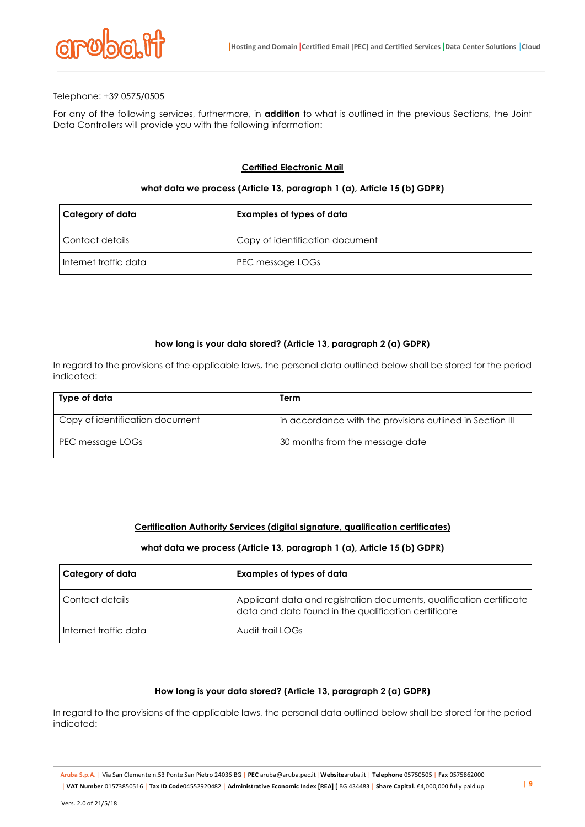

### Telephone: +39 0575/0505

For any of the following services, furthermore, in **addition** to what is outlined in the previous Sections, the Joint Data Controllers will provide you with the following information:

### **Certified Electronic Mail**

### **what data we process (Article 13, paragraph 1 (a), Article 15 (b) GDPR)**

| Category of data        | Examples of types of data       |
|-------------------------|---------------------------------|
| l Contact details       | Copy of identification document |
| l Internet traffic data | PEC message LOGs                |

#### **how long is your data stored? (Article 13, paragraph 2 (a) GDPR)**

In regard to the provisions of the applicable laws, the personal data outlined below shall be stored for the period indicated:

| Type of data                    | Term                                                      |
|---------------------------------|-----------------------------------------------------------|
| Copy of identification document | in accordance with the provisions outlined in Section III |
| PEC message LOGs                | 30 months from the message date                           |

# **Certification Authority Services (digital signature, qualification certificates)**

#### **what data we process (Article 13, paragraph 1 (a), Article 15 (b) GDPR)**

| Category of data      | Examples of types of data                                                                                                    |
|-----------------------|------------------------------------------------------------------------------------------------------------------------------|
| Contact details       | Applicant data and registration documents, qualification certificate<br>data and data found in the qualification certificate |
| Internet traffic data | Audit trail LOGs                                                                                                             |

#### **How long is your data stored? (Article 13, paragraph 2 (a) GDPR)**

In regard to the provisions of the applicable laws, the personal data outlined below shall be stored for the period indicated:

**Aruba S.p.A.** | Via San Clemente n.53 Ponte San Pietro 24036 BG | **PEC** aruba@aruba.pec.it |**Website**aruba.it | **Telephone** 05750505 | **Fax** 0575862000 | VAT Number 01573850516 | Tax ID Code04552920482 | Administrative Economic Index [REA] [ BG 434483 | Share Capital. €4,000,000 fully paid up | 9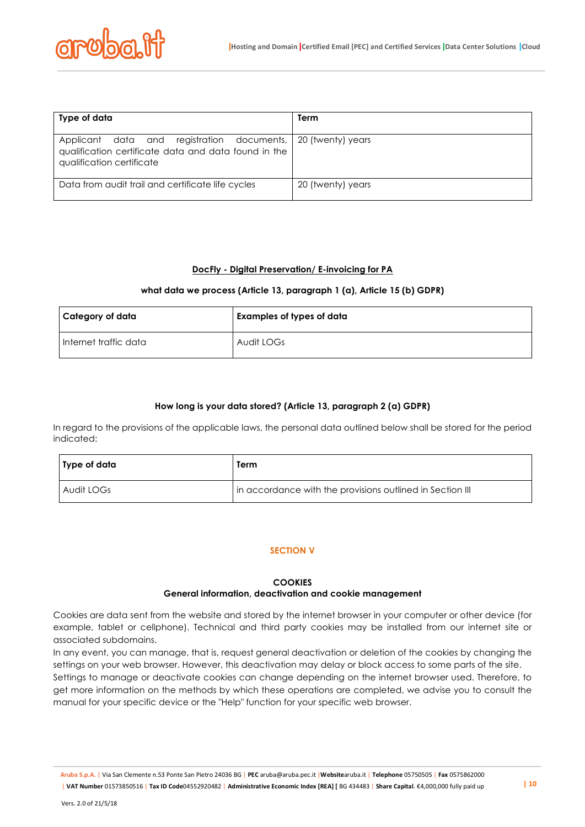| Type of data                                                                                                                                      | Term              |
|---------------------------------------------------------------------------------------------------------------------------------------------------|-------------------|
| Applicant data and registration documents, 20 (twenty) years<br>qualification certificate data and data found in the<br>qualification certificate |                   |
| Data from audit trail and certificate life cycles                                                                                                 | 20 (twenty) years |

# **DocFly - Digital Preservation/ E-invoicing for PA**

# **what data we process (Article 13, paragraph 1 (a), Article 15 (b) GDPR)**

| l Category of data    | Examples of types of data |
|-----------------------|---------------------------|
| Internet traffic data | Audit LOGs                |

# **How long is your data stored? (Article 13, paragraph 2 (a) GDPR)**

In regard to the provisions of the applicable laws, the personal data outlined below shall be stored for the period indicated:

| ∣ Type of data | Term                                                      |
|----------------|-----------------------------------------------------------|
| Audit LOGs     | In accordance with the provisions outlined in Section III |

# **SECTION V**

### **COOKIES General information, deactivation and cookie management**

Cookies are data sent from the website and stored by the internet browser in your computer or other device (for example, tablet or cellphone). Technical and third party cookies may be installed from our internet site or associated subdomains.

In any event, you can manage, that is, request general deactivation or deletion of the cookies by changing the settings on your web browser. However, this deactivation may delay or block access to some parts of the site.

Settings to manage or deactivate cookies can change depending on the internet browser used. Therefore, to get more information on the methods by which these operations are completed, we advise you to consult the manual for your specific device or the "Help" function for your specific web browser.

**Aruba S.p.A.** | Via San Clemente n.53 Ponte San Pietro 24036 BG | **PEC** aruba@aruba.pec.it |**Website**aruba.it | **Telephone** 05750505 | **Fax** 0575862000 | VAT Number 01573850516 | Tax ID Code04552920482 | Administrative Economic Index [REA] [ BG 434483 | Share Capital. €4,000,000 fully paid up | 10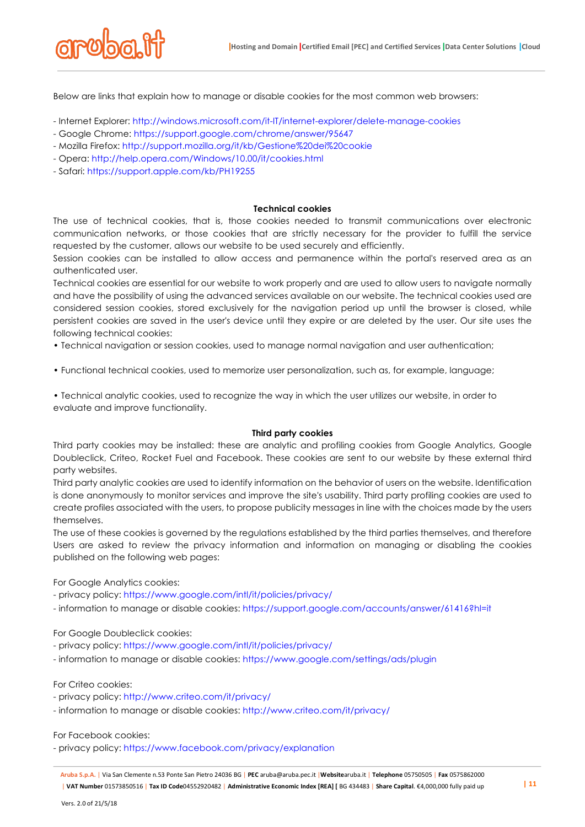

Below are links that explain how to manage or disable cookies for the most common web browsers:

- Internet Explorer: http://windows.microsoft.com/it-IT/internet-explorer/delete-manage-cookies
- Google Chrome: https://support.google.com/chrome/answer/95647
- Mozilla Firefox: http://support.mozilla.org/it/kb/Gestione%20dei%20cookie
- Opera: http://help.opera.com/Windows/10.00/it/cookies.html
- Safari: https://support.apple.com/kb/PH19255

### **Technical cookies**

The use of technical cookies, that is, those cookies needed to transmit communications over electronic communication networks, or those cookies that are strictly necessary for the provider to fulfill the service requested by the customer, allows our website to be used securely and efficiently.

Session cookies can be installed to allow access and permanence within the portal's reserved area as an authenticated user.

Technical cookies are essential for our website to work properly and are used to allow users to navigate normally and have the possibility of using the advanced services available on our website. The technical cookies used are considered session cookies, stored exclusively for the navigation period up until the browser is closed, while persistent cookies are saved in the user's device until they expire or are deleted by the user. Our site uses the following technical cookies:

• Technical navigation or session cookies, used to manage normal navigation and user authentication;

• Functional technical cookies, used to memorize user personalization, such as, for example, language;

• Technical analytic cookies, used to recognize the way in which the user utilizes our website, in order to evaluate and improve functionality.

### **Third party cookies**

Third party cookies may be installed: these are analytic and profiling cookies from Google Analytics, Google Doubleclick, Criteo, Rocket Fuel and Facebook. These cookies are sent to our website by these external third party websites.

Third party analytic cookies are used to identify information on the behavior of users on the website. Identification is done anonymously to monitor services and improve the site's usability. Third party profiling cookies are used to create profiles associated with the users, to propose publicity messages in line with the choices made by the users themselves.

The use of these cookies is governed by the regulations established by the third parties themselves, and therefore Users are asked to review the privacy information and information on managing or disabling the cookies published on the following web pages:

For Google Analytics cookies:

- privacy policy: https://www.google.com/intl/it/policies/privacy/

- information to manage or disable cookies: https://support.google.com/accounts/answer/61416?hl=it

For Google Doubleclick cookies:

- privacy policy: https://www.google.com/intl/it/policies/privacy/

- information to manage or disable cookies: https://www.google.com/settings/ads/plugin

# For Criteo cookies:

- privacy policy: http://www.criteo.com/it/privacy/

- information to manage or disable cookies: http://www.criteo.com/it/privacy/

For Facebook cookies:

- privacy policy: https://www.facebook.com/privacy/explanation

**Aruba S.p.A.** | Via San Clemente n.53 Ponte San Pietro 24036 BG | **PEC** aruba@aruba.pec.it |**Website**aruba.it | **Telephone** 05750505 | **Fax** 0575862000 | VAT Number 01573850516 | Tax ID Code04552920482 | Administrative Economic Index [REA] [ BG 434483 | Share Capital. €4,000,000 fully paid up | 11